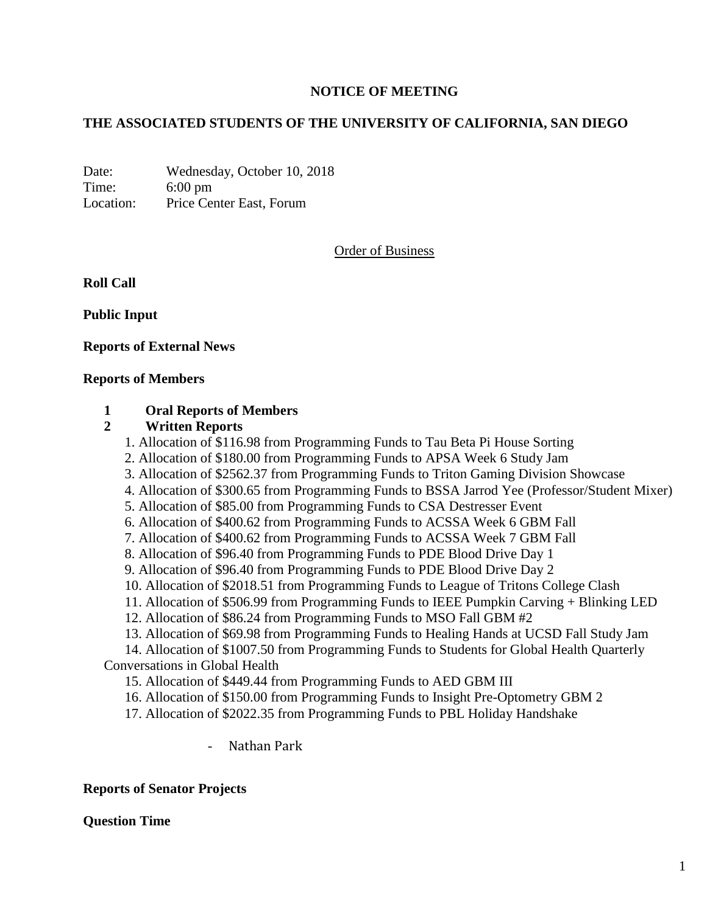# **NOTICE OF MEETING**

# **THE ASSOCIATED STUDENTS OF THE UNIVERSITY OF CALIFORNIA, SAN DIEGO**

Date: Wednesday, October 10, 2018 Time: 6:00 pm Location: Price Center East, Forum

Order of Business

**Roll Call**

**Public Input**

**Reports of External News**

### **Reports of Members**

### **1 Oral Reports of Members**

### **2 Written Reports**

- 1. Allocation of \$116.98 from Programming Funds to Tau Beta Pi House Sorting
- 2. Allocation of \$180.00 from Programming Funds to APSA Week 6 Study Jam
- 3. Allocation of \$2562.37 from Programming Funds to Triton Gaming Division Showcase
- 4. Allocation of \$300.65 from Programming Funds to BSSA Jarrod Yee (Professor/Student Mixer)
- 5. Allocation of \$85.00 from Programming Funds to CSA Destresser Event
- 6. Allocation of \$400.62 from Programming Funds to ACSSA Week 6 GBM Fall
- 7. Allocation of \$400.62 from Programming Funds to ACSSA Week 7 GBM Fall
- 8. Allocation of \$96.40 from Programming Funds to PDE Blood Drive Day 1
- 9. Allocation of \$96.40 from Programming Funds to PDE Blood Drive Day 2
- 10. Allocation of \$2018.51 from Programming Funds to League of Tritons College Clash
- 11. Allocation of \$506.99 from Programming Funds to IEEE Pumpkin Carving + Blinking LED
- 12. Allocation of \$86.24 from Programming Funds to MSO Fall GBM #2
- 13. Allocation of \$69.98 from Programming Funds to Healing Hands at UCSD Fall Study Jam

14. Allocation of \$1007.50 from Programming Funds to Students for Global Health Quarterly Conversations in Global Health

- 15. Allocation of \$449.44 from Programming Funds to AED GBM III
- 16. Allocation of \$150.00 from Programming Funds to Insight Pre-Optometry GBM 2
- 17. Allocation of \$2022.35 from Programming Funds to PBL Holiday Handshake
	- Nathan Park

#### **Reports of Senator Projects**

#### **Question Time**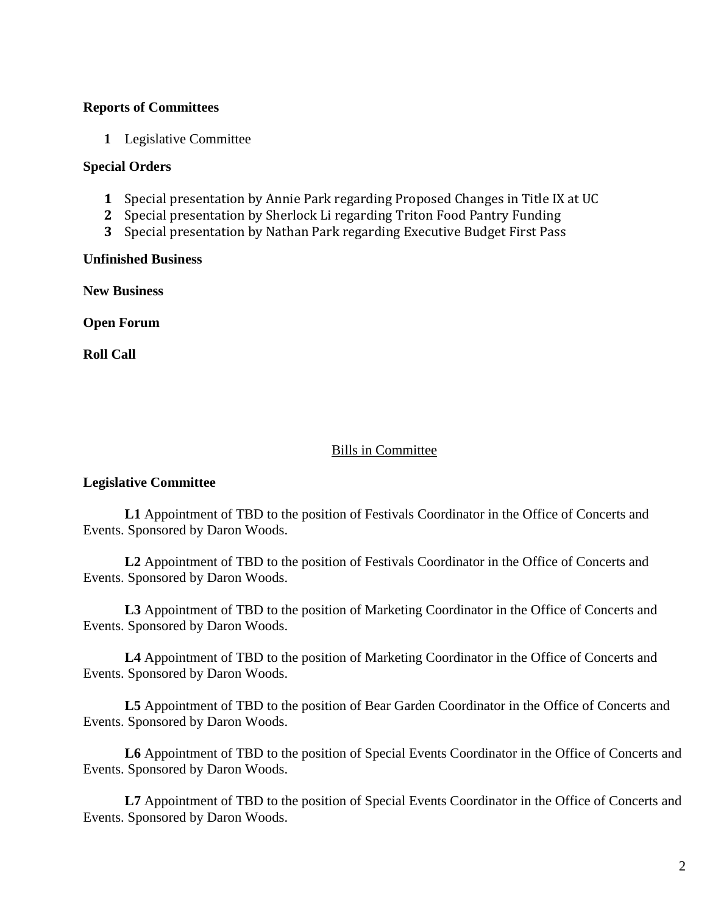## **Reports of Committees**

**1** Legislative Committee

## **Special Orders**

- **1** Special presentation by Annie Park regarding Proposed Changes in Title IX at UC
- **2** Special presentation by Sherlock Li regarding Triton Food Pantry Funding
- **3** Special presentation by Nathan Park regarding Executive Budget First Pass

## **Unfinished Business**

**New Business**

**Open Forum**

**Roll Call**

# Bills in Committee

## **Legislative Committee**

**L1** Appointment of TBD to the position of Festivals Coordinator in the Office of Concerts and Events. Sponsored by Daron Woods.

**L2** Appointment of TBD to the position of Festivals Coordinator in the Office of Concerts and Events. Sponsored by Daron Woods.

**L3** Appointment of TBD to the position of Marketing Coordinator in the Office of Concerts and Events. Sponsored by Daron Woods.

**L4** Appointment of TBD to the position of Marketing Coordinator in the Office of Concerts and Events. Sponsored by Daron Woods.

**L5** Appointment of TBD to the position of Bear Garden Coordinator in the Office of Concerts and Events. Sponsored by Daron Woods.

**L6** Appointment of TBD to the position of Special Events Coordinator in the Office of Concerts and Events. Sponsored by Daron Woods.

L7 Appointment of TBD to the position of Special Events Coordinator in the Office of Concerts and Events. Sponsored by Daron Woods.